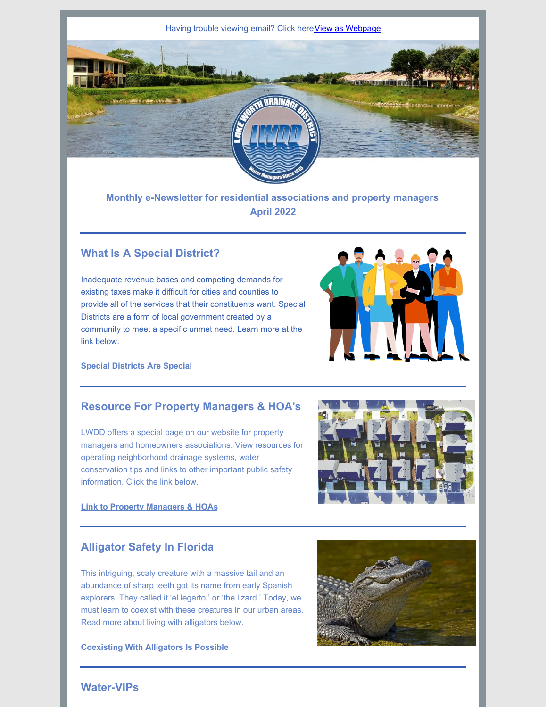

**Monthly e-Newsletter for residential associations and property managers April 2022**

# **What Is A Special District?**

Inadequate revenue bases and competing demands for existing taxes make it difficult for cities and counties to provide all of the services that their constituents want. Special Districts are a form of local government created by a community to meet a specific unmet need. Learn more at the link below.



### **Special [Districts](https://www.lwdd.net/news/special-districts-are-special) Are Special**

## **Resource For Property Managers & HOA's**

LWDD offers a special page on our website for property managers and homeowners associations. View resources for operating neighborhood drainage systems, water conservation tips and links to other important public safety information. Click the link below.



#### **Link to Property [Managers](http://www.lwdd.net/property-managers-hoa) & HOAs**

# **Alligator Safety In Florida**

This intriguing, scaly creature with a massive tail and an abundance of sharp teeth got its name from early Spanish explorers. They called it 'el legarto,' or 'the lizard.' Today, we must learn to coexist with these creatures in our urban areas. Read more about living with alligators below.

**[Coexisting](https://www.lwdd.net/news/coexisting-with-alligators-is-possible) With Alligators Is Possible**



# **Water-VIPs**